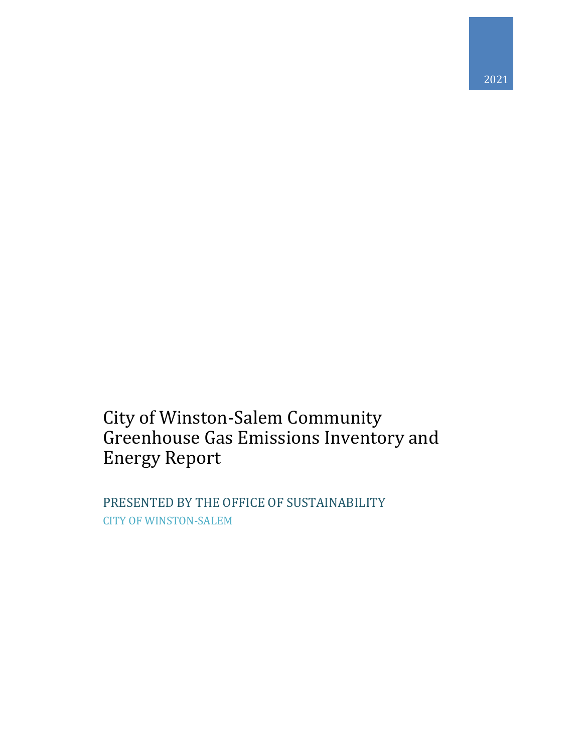# City of Winston-Salem Community Greenhouse Gas Emissions Inventory and Energy Report

PRESENTED BY THE OFFICE OF SUSTAINABILITY CITY OF WINSTON-SALEM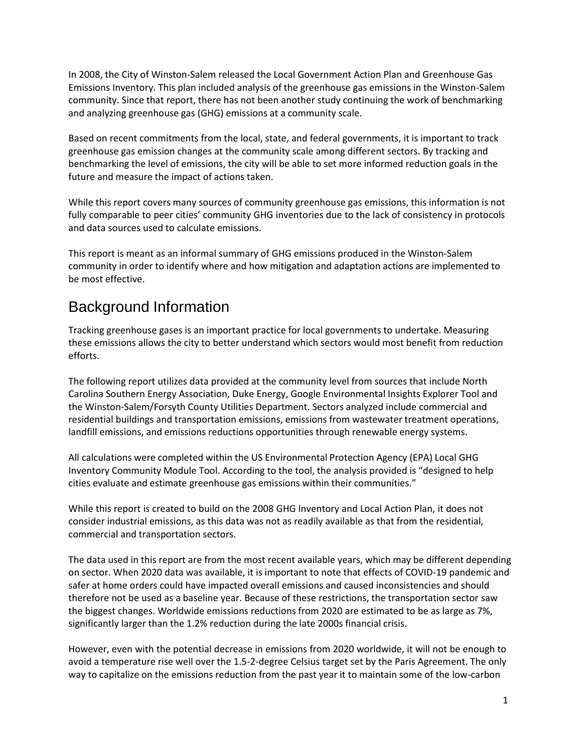In 2008, the City of Winston-Salem released the Local Government Action Plan and Greenhouse Gas Emissions Inventory. This plan included analysis of the greenhouse gas emissions in the Winston-Salem community. Since that report, there has not been another study continuing the work of benchmarking and analyzing greenhouse gas (GHG) emissions at a community scale.

Based on recent commitments from the local, state, and federal governments, it is important to track greenhouse gas emission changes at the community scale among different sectors. By tracking and benchmarking the level of emissions, the city will be able to set more informed reduction goals in the future and measure the impact of actions taken.

While this report covers many sources of community greenhouse gas emissions, this information is not fully comparable to peer cities' community GHG inventories due to the lack of consistency in protocols and data sources used to calculate emissions.

This report is meant as an informal summary of GHG emissions produced in the Winston-Salem community in order to identify where and how mitigation and adaptation actions are implemented to be most effective.

## <span id="page-1-0"></span>Background Information

Tracking greenhouse gases is an important practice for local governments to undertake. Measuring these emissions allows the city to better understand which sectors would most benefit from reduction efforts.

The following report utilizes data provided at the community level from sources that include North Carolina Southern Energy Association, Duke Energy, Google Environmental Insights Explorer Tool and the Winston-Salem/Forsyth County Utilities Department. Sectors analyzed include commercial and residential buildings and transportation emissions, emissions from wastewater treatment operations, landfill emissions, and emissions reductions opportunities through renewable energy systems.

All calculations were completed within the US Environmental Protection Agency (EPA) Local GHG Inventory Community Module Tool. According to the tool, the analysis provided is "designed to help cities evaluate and estimate greenhouse gas emissions within their communities."

While this report is created to build on the 2008 GHG Inventory and Local Action Plan, it does not consider industrial emissions, as this data was not as readily available as that from the residential, commercial and transportation sectors.

The data used in this report are from the most recent available years, which may be different depending on sector. When 2020 data was available, it is important to note that effects of COVID-19 pandemic and safer at home orders could have impacted overall emissions and caused inconsistencies and should therefore not be used as a baseline year. Because of these restrictions, the transportation sector saw the biggest changes. Worldwide emissions reductions from 2020 are estimated to be as large as 7%, significantly larger than the 1.2% reduction during the late 2000s financial crisis.

However, even with the potential decrease in emissions from 2020 worldwide, it will not be enough to avoid a temperature rise well over the 1.5-2-degree Celsius target set by the Paris Agreement. The only way to capitalize on the emissions reduction from the past year it to maintain some of the low-carbon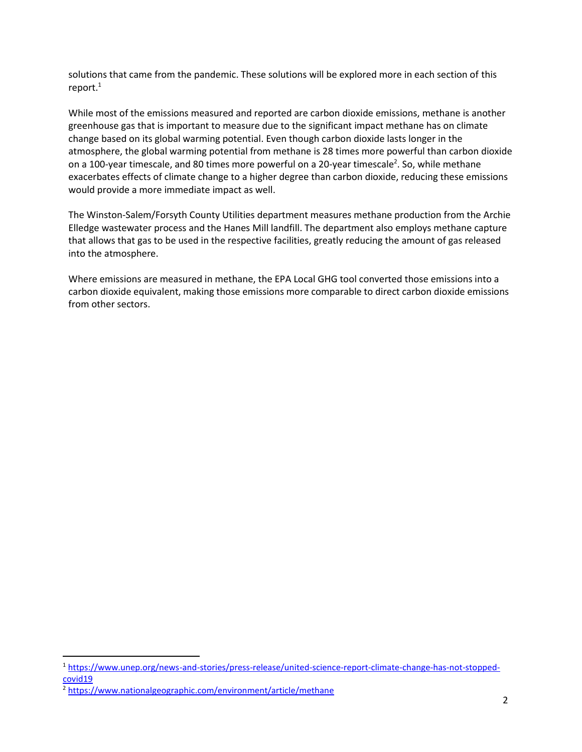solutions that came from the pandemic. These solutions will be explored more in each section of this report. $^1$ 

While most of the emissions measured and reported are carbon dioxide emissions, methane is another greenhouse gas that is important to measure due to the significant impact methane has on climate change based on its global warming potential. Even though carbon dioxide lasts longer in the atmosphere, the global warming potential from methane is 28 times more powerful than carbon dioxide on a 100-year timescale, and 80 times more powerful on a 20-year timescale<sup>2</sup>. So, while methane exacerbates effects of climate change to a higher degree than carbon dioxide, reducing these emissions would provide a more immediate impact as well.

The Winston-Salem/Forsyth County Utilities department measures methane production from the Archie Elledge wastewater process and the Hanes Mill landfill. The department also employs methane capture that allows that gas to be used in the respective facilities, greatly reducing the amount of gas released into the atmosphere.

Where emissions are measured in methane, the EPA Local GHG tool converted those emissions into a carbon dioxide equivalent, making those emissions more comparable to direct carbon dioxide emissions from other sectors.

<sup>1</sup> [https://www.unep.org/news-and-stories/press-release/united-science-report-climate-change-has-not-stopped](https://www.unep.org/news-and-stories/press-release/united-science-report-climate-change-has-not-stopped-covid19)[covid19](https://www.unep.org/news-and-stories/press-release/united-science-report-climate-change-has-not-stopped-covid19)

<sup>2</sup> <https://www.nationalgeographic.com/environment/article/methane>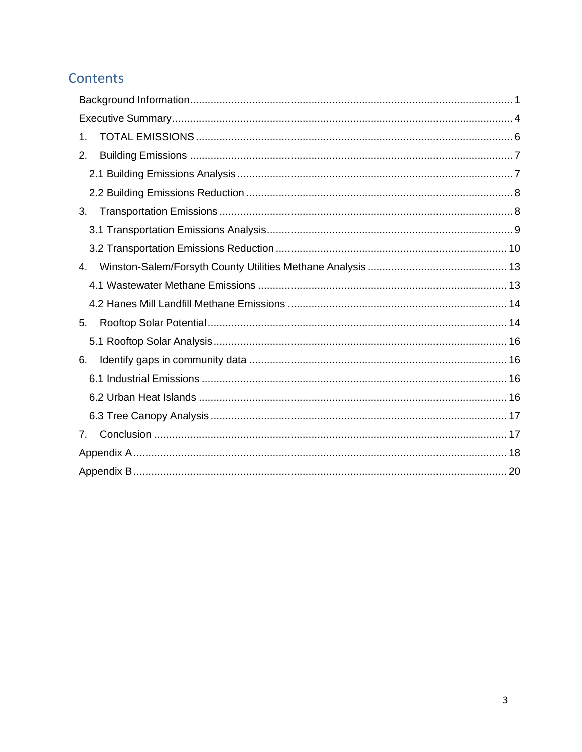## Contents

| 1. |
|----|
| 2. |
|    |
|    |
| 3. |
|    |
|    |
| 4. |
|    |
|    |
| 5. |
|    |
| 6. |
|    |
|    |
|    |
| 7. |
|    |
|    |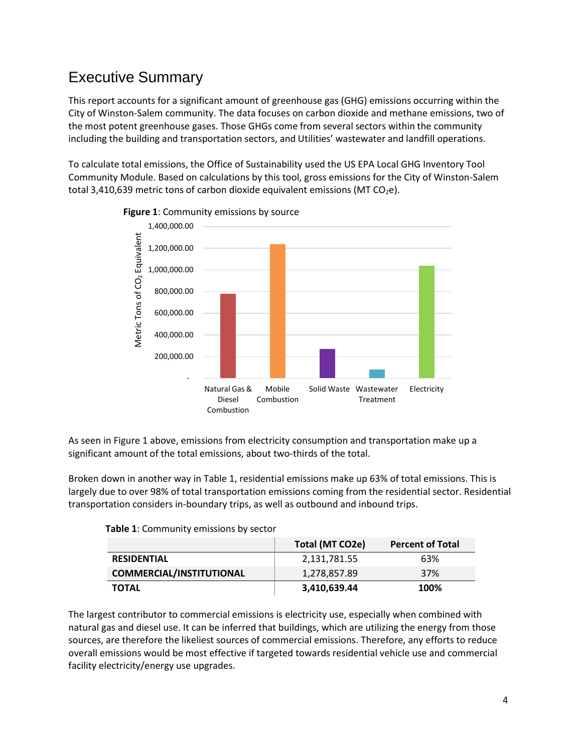## <span id="page-4-0"></span>Executive Summary

This report accounts for a significant amount of greenhouse gas (GHG) emissions occurring within the City of Winston-Salem community. The data focuses on carbon dioxide and methane emissions, two of the most potent greenhouse gases. Those GHGs come from several sectors within the community including the building and transportation sectors, and Utilities' wastewater and landfill operations.

To calculate total emissions, the Office of Sustainability used the US EPA Local GHG Inventory Tool Community Module. Based on calculations by this tool, gross emissions for the City of Winston-Salem total 3,410,639 metric tons of carbon dioxide equivalent emissions (MT  $CO<sub>2</sub>e$ ).





As seen in Figure 1 above, emissions from electricity consumption and transportation make up a significant amount of the total emissions, about two-thirds of the total.

Broken down in another way in Table 1, residential emissions make up 63% of total emissions. This is largely due to over 98% of total transportation emissions coming from the residential sector. Residential transportation considers in-boundary trips, as well as outbound and inbound trips.

|                                 | Total (MT CO2e) | <b>Percent of Total</b> |
|---------------------------------|-----------------|-------------------------|
| <b>RESIDENTIAL</b>              | 2,131,781.55    | 63%                     |
| <b>COMMERCIAL/INSTITUTIONAL</b> | 1,278,857.89    | 37%                     |
| <b>TOTAL</b>                    | 3,410,639.44    | 100%                    |

| Table 1: Community emissions by sector |  |  |  |  |  |  |  |
|----------------------------------------|--|--|--|--|--|--|--|
|----------------------------------------|--|--|--|--|--|--|--|

The largest contributor to commercial emissions is electricity use, especially when combined with natural gas and diesel use. It can be inferred that buildings, which are utilizing the energy from those sources, are therefore the likeliest sources of commercial emissions. Therefore, any efforts to reduce overall emissions would be most effective if targeted towards residential vehicle use and commercial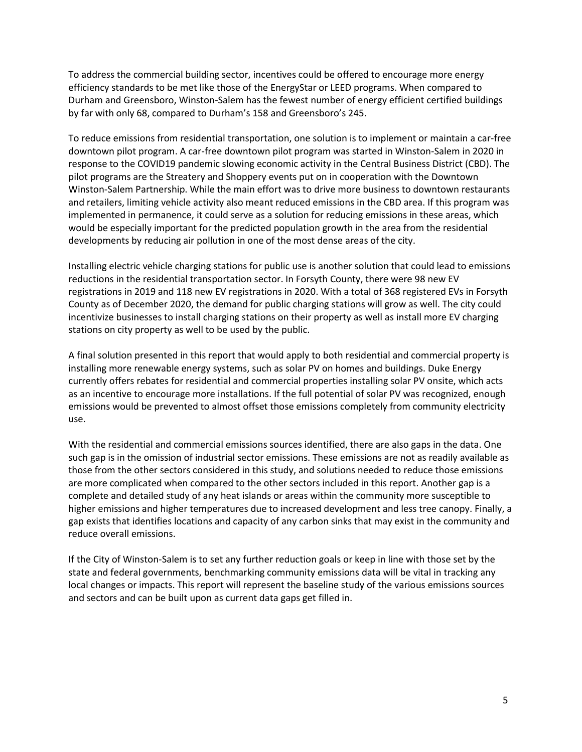To address the commercial building sector, incentives could be offered to encourage more energy efficiency standards to be met like those of the EnergyStar or LEED programs. When compared to Durham and Greensboro, Winston-Salem has the fewest number of energy efficient certified buildings by far with only 68, compared to Durham's 158 and Greensboro's 245.

To reduce emissions from residential transportation, one solution is to implement or maintain a car-free downtown pilot program. A car-free downtown pilot program was started in Winston-Salem in 2020 in response to the COVID19 pandemic slowing economic activity in the Central Business District (CBD). The pilot programs are the Streatery and Shoppery events put on in cooperation with the Downtown Winston-Salem Partnership. While the main effort was to drive more business to downtown restaurants and retailers, limiting vehicle activity also meant reduced emissions in the CBD area. If this program was implemented in permanence, it could serve as a solution for reducing emissions in these areas, which would be especially important for the predicted population growth in the area from the residential developments by reducing air pollution in one of the most dense areas of the city.

Installing electric vehicle charging stations for public use is another solution that could lead to emissions reductions in the residential transportation sector. In Forsyth County, there were 98 new EV registrations in 2019 and 118 new EV registrations in 2020. With a total of 368 registered EVs in Forsyth County as of December 2020, the demand for public charging stations will grow as well. The city could incentivize businesses to install charging stations on their property as well as install more EV charging stations on city property as well to be used by the public.

A final solution presented in this report that would apply to both residential and commercial property is installing more renewable energy systems, such as solar PV on homes and buildings. Duke Energy currently offers rebates for residential and commercial properties installing solar PV onsite, which acts as an incentive to encourage more installations. If the full potential of solar PV was recognized, enough emissions would be prevented to almost offset those emissions completely from community electricity use.

With the residential and commercial emissions sources identified, there are also gaps in the data. One such gap is in the omission of industrial sector emissions. These emissions are not as readily available as those from the other sectors considered in this study, and solutions needed to reduce those emissions are more complicated when compared to the other sectors included in this report. Another gap is a complete and detailed study of any heat islands or areas within the community more susceptible to higher emissions and higher temperatures due to increased development and less tree canopy. Finally, a gap exists that identifies locations and capacity of any carbon sinks that may exist in the community and reduce overall emissions.

If the City of Winston-Salem is to set any further reduction goals or keep in line with those set by the state and federal governments, benchmarking community emissions data will be vital in tracking any local changes or impacts. This report will represent the baseline study of the various emissions sources and sectors and can be built upon as current data gaps get filled in.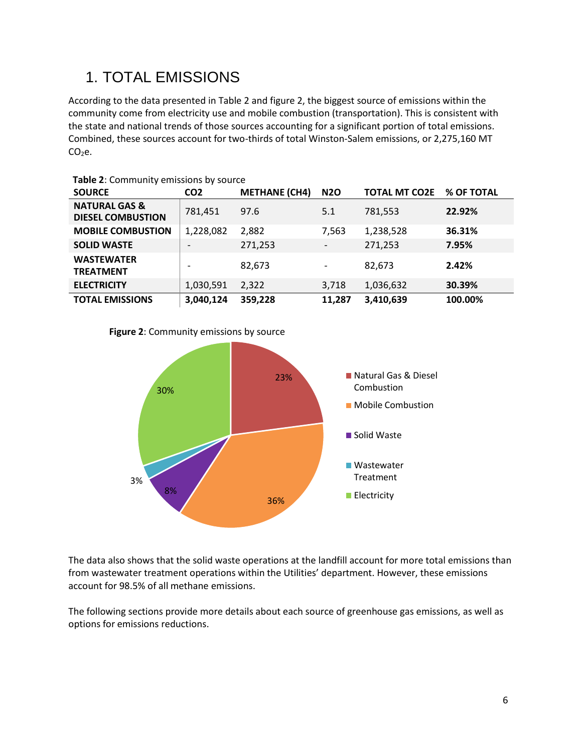# <span id="page-6-0"></span>1. TOTAL EMISSIONS

According to the data presented in Table 2 and figure 2, the biggest source of emissions within the community come from electricity use and mobile combustion (transportation). This is consistent with the state and national trends of those sources accounting for a significant portion of total emissions. Combined, these sources account for two-thirds of total Winston-Salem emissions, or 2,275,160 MT CO<sub>2</sub>e.

| <b>SOURCE</b>                                        | CO <sub>2</sub>          | <b>METHANE (CH4)</b> | <b>N2O</b>               | <b>TOTAL MT CO2E</b> | % OF TOTAL |
|------------------------------------------------------|--------------------------|----------------------|--------------------------|----------------------|------------|
| <b>NATURAL GAS &amp;</b><br><b>DIESEL COMBUSTION</b> | 781,451                  | 97.6                 | 5.1                      | 781,553              | 22.92%     |
| <b>MOBILE COMBUSTION</b>                             | 1,228,082                | 2,882                | 7,563                    | 1,238,528            | 36.31%     |
| <b>SOLID WASTE</b>                                   |                          | 271,253              | $\overline{\phantom{a}}$ | 271,253              | 7.95%      |
| <b>WASTEWATER</b><br><b>TREATMENT</b>                | $\overline{\phantom{a}}$ | 82,673               | $\overline{\phantom{a}}$ | 82,673               | 2.42%      |
| <b>ELECTRICITY</b>                                   | 1,030,591                | 2,322                | 3,718                    | 1,036,632            | 30.39%     |
| <b>TOTAL EMISSIONS</b>                               | 3,040,124                | 359,228              | 11.287                   | 3,410,639            | 100.00%    |

**Table 2**: Community emissions by source

#### **Figure 2**: Community emissions by source



The data also shows that the solid waste operations at the landfill account for more total emissions than from wastewater treatment operations within the Utilities' department. However, these emissions account for 98.5% of all methane emissions.

The following sections provide more details about each source of greenhouse gas emissions, as well as options for emissions reductions.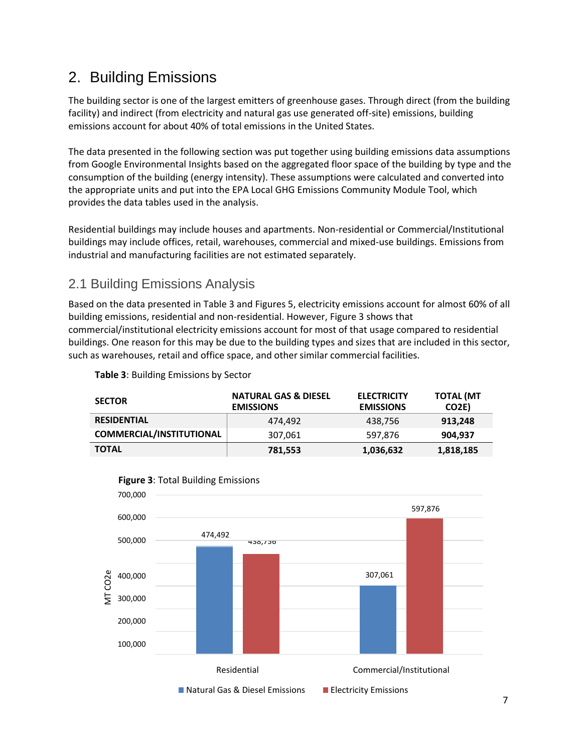## <span id="page-7-0"></span>2. Building Emissions

The building sector is one of the largest emitters of greenhouse gases. Through direct (from the building facility) and indirect (from electricity and natural gas use generated off-site) emissions, building emissions account for about 40% of total emissions in the United States.

The data presented in the following section was put together using building emissions data assumptions from Google Environmental Insights based on the aggregated floor space of the building by type and the consumption of the building (energy intensity). These assumptions were calculated and converted into the appropriate units and put into the EPA Local GHG Emissions Community Module Tool, which provides the data tables used in the analysis.

Residential buildings may include houses and apartments. Non-residential or Commercial/Institutional buildings may include offices, retail, warehouses, commercial and mixed-use buildings. Emissions from industrial and manufacturing facilities are not estimated separately.

## <span id="page-7-1"></span>2.1 Building Emissions Analysis

Based on the data presented in Table 3 and Figures 5, electricity emissions account for almost 60% of all building emissions, residential and non-residential. However, Figure 3 shows that commercial/institutional electricity emissions account for most of that usage compared to residential buildings. One reason for this may be due to the building types and sizes that are included in this sector, such as warehouses, retail and office space, and other similar commercial facilities.

| <b>SECTOR</b>                   | <b>NATURAL GAS &amp; DIESEL</b><br><b>EMISSIONS</b> | <b>ELECTRICITY</b><br><b>EMISSIONS</b> | <b>TOTAL (MT</b><br>CO <sub>2E</sub> ) |
|---------------------------------|-----------------------------------------------------|----------------------------------------|----------------------------------------|
| <b>RESIDENTIAL</b>              | 474.492                                             | 438.756                                | 913.248                                |
| <b>COMMERCIAL/INSTITUTIONAL</b> | 307,061                                             | 597.876                                | 904.937                                |
| <b>TOTAL</b>                    | 781,553                                             | 1,036,632                              | 1,818,185                              |

**Table 3**: Building Emissions by Sector



7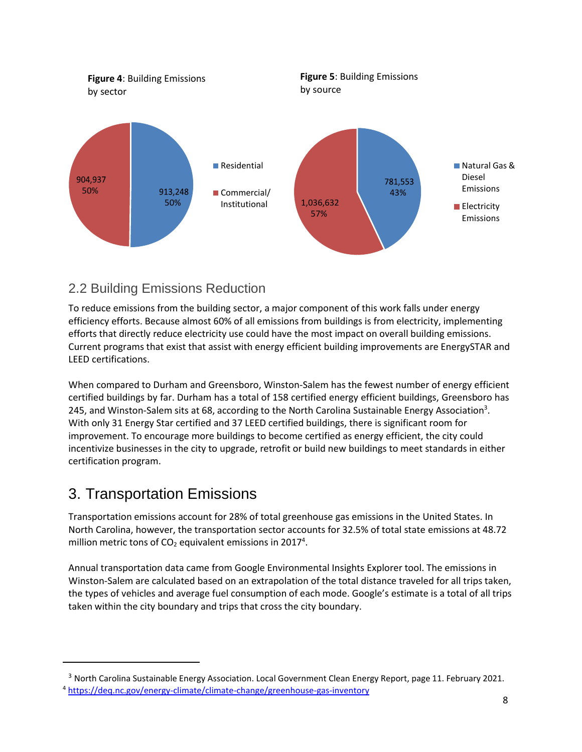

## <span id="page-8-0"></span>2.2 Building Emissions Reduction

To reduce emissions from the building sector, a major component of this work falls under energy efficiency efforts. Because almost 60% of all emissions from buildings is from electricity, implementing efforts that directly reduce electricity use could have the most impact on overall building emissions. Current programs that exist that assist with energy efficient building improvements are EnergySTAR and LEED certifications.

When compared to Durham and Greensboro, Winston-Salem has the fewest number of energy efficient certified buildings by far. Durham has a total of 158 certified energy efficient buildings, Greensboro has 245, and Winston-Salem sits at 68, according to the North Carolina Sustainable Energy Association<sup>3</sup>. With only 31 Energy Star certified and 37 LEED certified buildings, there is significant room for improvement. To encourage more buildings to become certified as energy efficient, the city could incentivize businesses in the city to upgrade, retrofit or build new buildings to meet standards in either certification program.

## <span id="page-8-1"></span>3. Transportation Emissions

Transportation emissions account for 28% of total greenhouse gas emissions in the United States. In North Carolina, however, the transportation sector accounts for 32.5% of total state emissions at 48.72 million metric tons of CO<sub>2</sub> equivalent emissions in 2017<sup>4</sup>.

Annual transportation data came from Google Environmental Insights Explorer tool. The emissions in Winston-Salem are calculated based on an extrapolation of the total distance traveled for all trips taken, the types of vehicles and average fuel consumption of each mode. Google's estimate is a total of all trips taken within the city boundary and trips that cross the city boundary.

<sup>&</sup>lt;sup>3</sup> North Carolina Sustainable Energy Association. Local Government Clean Energy Report, page 11. February 2021. <sup>4</sup> <https://deq.nc.gov/energy-climate/climate-change/greenhouse-gas-inventory>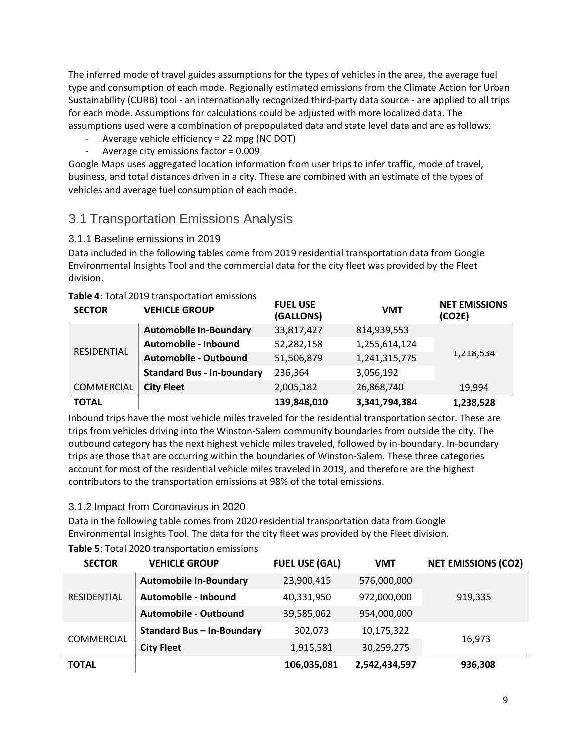The inferred mode of travel guides assumptions for the types of vehicles in the area, the average fuel type and consumption of each mode. Regionally estimated emissions from the Climate Action for Urban Sustainability (CURB) tool - an internationally recognized third-party data source - are applied to all trips for each mode. Assumptions for calculations could be adjusted with more localized data. The assumptions used were a combination of prepopulated data and state level data and are as follows:

- Average vehicle efficiency = 22 mpg (NC DOT)
- Average city emissions factor = 0.009

Google Maps uses aggregated location information from user trips to infer traffic, mode of travel, business, and total distances driven in a city. These are combined with an estimate of the types of vehicles and average fuel consumption of each mode.

### <span id="page-9-0"></span>3.1 Transportation Emissions Analysis

#### 3.1.1 Baseline emissions in 2019

Data included in the following tables come from 2019 residential transportation data from Google Environmental Insights Tool and the commercial data for the city fleet was provided by the Fleet division.

| <b>SECTOR</b>     | <b>VEHICLE GROUP</b>              | <b>FUEL USE</b><br>(GALLONS) | <b>VMT</b>    | <b>NET EMISSIONS</b><br>(CO2E) |
|-------------------|-----------------------------------|------------------------------|---------------|--------------------------------|
| RESIDENTIAL       | <b>Automobile In-Boundary</b>     | 33,817,427                   | 814,939,553   |                                |
|                   | Automobile - Inbound              | 52,282,158                   | 1,255,614,124 |                                |
|                   | Automobile - Outbound             | 51,506,879                   | 1,241,315,775 | 1,218,534                      |
|                   | <b>Standard Bus - In-boundary</b> | 236,364                      | 3,056,192     |                                |
| <b>COMMERCIAL</b> | <b>City Fleet</b>                 | 2,005,182                    | 26,868,740    | 19,994                         |
| <b>TOTAL</b>      |                                   | 139,848,010                  | 3,341,794,384 | 1,238,528                      |

#### **Table 4**: Total 2019 transportation emissions

Inbound trips have the most vehicle miles traveled for the residential transportation sector. These are trips from vehicles driving into the Winston-Salem community boundaries from outside the city. The outbound category has the next highest vehicle miles traveled, followed by in-boundary. In-boundary trips are those that are occurring within the boundaries of Winston-Salem. These three categories account for most of the residential vehicle miles traveled in 2019, and therefore are the highest contributors to the transportation emissions at 98% of the total emissions.

#### 3.1.2 Impact from Coronavirus in 2020

Data in the following table comes from 2020 residential transportation data from Google Environmental Insights Tool. The data for the city fleet was provided by the Fleet division.

| <b>SECTOR</b>      | <b>VEHICLE GROUP</b>              | <b>FUEL USE (GAL)</b> | VMT           | <b>NET EMISSIONS (CO2)</b> |
|--------------------|-----------------------------------|-----------------------|---------------|----------------------------|
| <b>RESIDENTIAL</b> | <b>Automobile In-Boundary</b>     | 23,900,415            | 576,000,000   |                            |
|                    | Automobile - Inbound              | 40,331,950            | 972,000,000   | 919,335                    |
|                    | Automobile - Outbound             | 39,585,062            | 954,000,000   |                            |
| COMMERCIAL         | <b>Standard Bus - In-Boundary</b> | 302,073               | 10,175,322    |                            |
|                    | <b>City Fleet</b>                 | 1,915,581             | 30,259,275    | 16,973                     |
| <b>TOTAL</b>       |                                   | 106,035,081           | 2,542,434,597 | 936,308                    |

#### **Table 5**: Total 2020 transportation emissions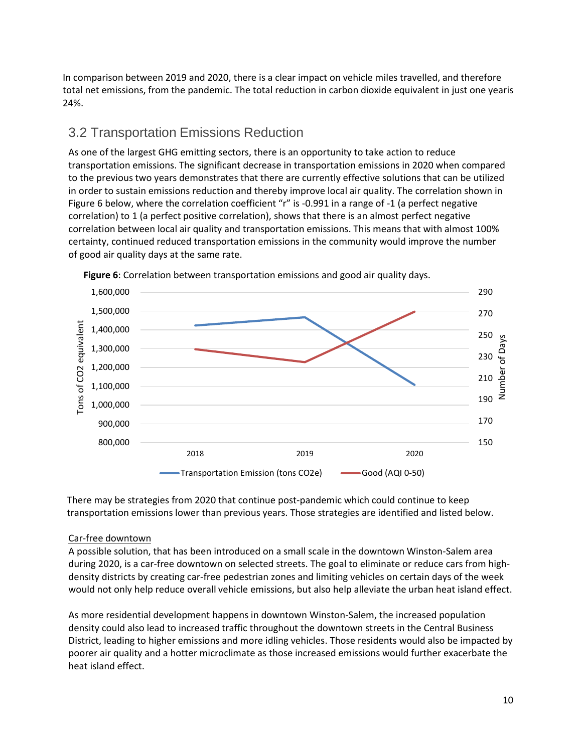In comparison between 2019 and 2020, there is a clear impact on vehicle miles travelled, and therefore total net emissions, from the pandemic. The total reduction in carbon dioxide equivalent in just one yearis 24%.

### <span id="page-10-0"></span>3.2 Transportation Emissions Reduction

As one of the largest GHG emitting sectors, there is an opportunity to take action to reduce transportation emissions. The significant decrease in transportation emissions in 2020 when compared to the previous two years demonstrates that there are currently effective solutions that can be utilized in order to sustain emissions reduction and thereby improve local air quality. The correlation shown in Figure 6 below, where the correlation coefficient "r" is -0.991 in a range of -1 (a perfect negative correlation) to 1 (a perfect positive correlation), shows that there is an almost perfect negative correlation between local air quality and transportation emissions. This means that with almost 100% certainty, continued reduced transportation emissions in the community would improve the number of good air quality days at the same rate.



**Figure 6**: Correlation between transportation emissions and good air quality days.

There may be strategies from 2020 that continue post-pandemic which could continue to keep transportation emissions lower than previous years. Those strategies are identified and listed below.

#### Car-free downtown

A possible solution, that has been introduced on a small scale in the downtown Winston-Salem area during 2020, is a car-free downtown on selected streets. The goal to eliminate or reduce cars from highdensity districts by creating car-free pedestrian zones and limiting vehicles on certain days of the week would not only help reduce overall vehicle emissions, but also help alleviate the urban heat island effect.

As more residential development happens in downtown Winston-Salem, the increased population density could also lead to increased traffic throughout the downtown streets in the Central Business District, leading to higher emissions and more idling vehicles. Those residents would also be impacted by poorer air quality and a hotter microclimate as those increased emissions would further exacerbate the heat island effect.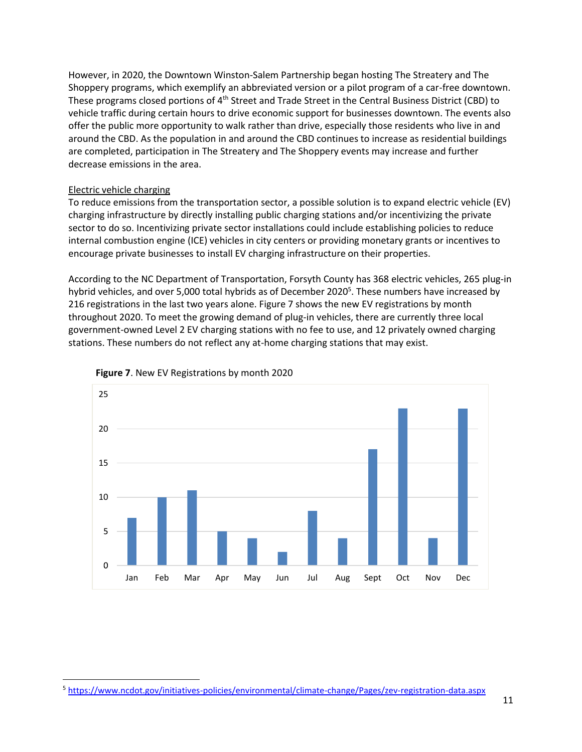However, in 2020, the Downtown Winston-Salem Partnership began hosting The Streatery and The Shoppery programs, which exemplify an abbreviated version or a pilot program of a car-free downtown. These programs closed portions of 4<sup>th</sup> Street and Trade Street in the Central Business District (CBD) to vehicle traffic during certain hours to drive economic support for businesses downtown. The events also offer the public more opportunity to walk rather than drive, especially those residents who live in and around the CBD. As the population in and around the CBD continues to increase as residential buildings are completed, participation in The Streatery and The Shoppery events may increase and further decrease emissions in the area.

#### Electric vehicle charging

To reduce emissions from the transportation sector, a possible solution is to expand electric vehicle (EV) charging infrastructure by directly installing public charging stations and/or incentivizing the private sector to do so. Incentivizing private sector installations could include establishing policies to reduce internal combustion engine (ICE) vehicles in city centers or providing monetary grants or incentives to encourage private businesses to install EV charging infrastructure on their properties.

According to the NC Department of Transportation, Forsyth County has 368 electric vehicles, 265 plug-in hybrid vehicles, and over 5,000 total hybrids as of December 2020<sup>5</sup>. These numbers have increased by 216 registrations in the last two years alone. Figure 7 shows the new EV registrations by month throughout 2020. To meet the growing demand of plug-in vehicles, there are currently three local government-owned Level 2 EV charging stations with no fee to use, and 12 privately owned charging stations. These numbers do not reflect any at-home charging stations that may exist.





<sup>5</sup> <https://www.ncdot.gov/initiatives-policies/environmental/climate-change/Pages/zev-registration-data.aspx>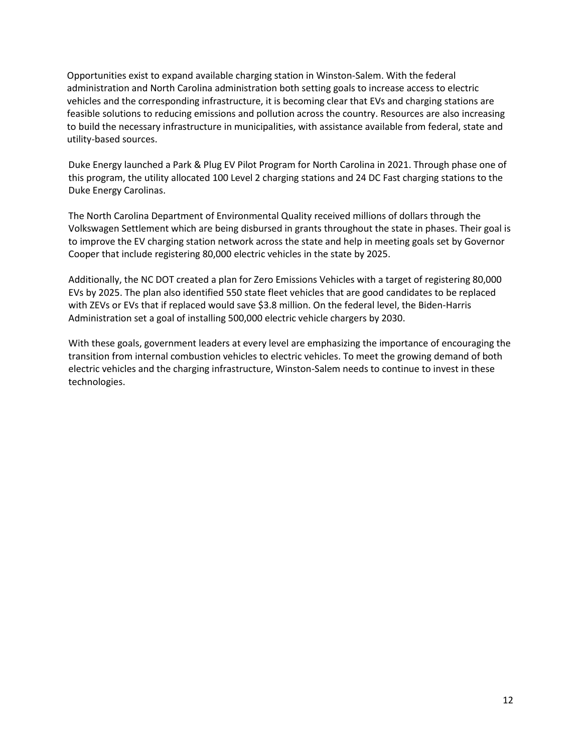Opportunities exist to expand available charging station in Winston-Salem. With the federal administration and North Carolina administration both setting goals to increase access to electric vehicles and the corresponding infrastructure, it is becoming clear that EVs and charging stations are feasible solutions to reducing emissions and pollution across the country. Resources are also increasing to build the necessary infrastructure in municipalities, with assistance available from federal, state and utility-based sources.

Duke Energy launched a Park & Plug EV Pilot Program for North Carolina in 2021. Through phase one of this program, the utility allocated 100 Level 2 charging stations and 24 DC Fast charging stations to the Duke Energy Carolinas.

The North Carolina Department of Environmental Quality received millions of dollars through the Volkswagen Settlement which are being disbursed in grants throughout the state in phases. Their goal is to improve the EV charging station network across the state and help in meeting goals set by Governor Cooper that include registering 80,000 electric vehicles in the state by 2025.

Additionally, the NC DOT created a plan for Zero Emissions Vehicles with a target of registering 80,000 EVs by 2025. The plan also identified 550 state fleet vehicles that are good candidates to be replaced with ZEVs or EVs that if replaced would save \$3.8 million. On the federal level, the Biden-Harris Administration set a goal of installing 500,000 electric vehicle chargers by 2030.

With these goals, government leaders at every level are emphasizing the importance of encouraging the transition from internal combustion vehicles to electric vehicles. To meet the growing demand of both electric vehicles and the charging infrastructure, Winston-Salem needs to continue to invest in these technologies.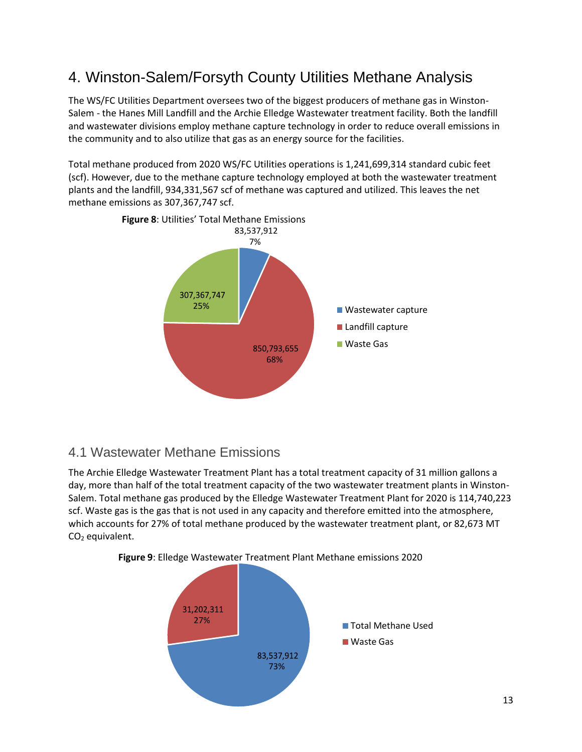# <span id="page-13-0"></span>4. Winston-Salem/Forsyth County Utilities Methane Analysis

The WS/FC Utilities Department oversees two of the biggest producers of methane gas in Winston-Salem - the Hanes Mill Landfill and the Archie Elledge Wastewater treatment facility. Both the landfill and wastewater divisions employ methane capture technology in order to reduce overall emissions in the community and to also utilize that gas as an energy source for the facilities.

Total methane produced from 2020 WS/FC Utilities operations is 1,241,699,314 standard cubic feet (scf). However, due to the methane capture technology employed at both the wastewater treatment plants and the landfill, 934,331,567 scf of methane was captured and utilized. This leaves the net methane emissions as 307,367,747 scf.



### <span id="page-13-1"></span>4.1 Wastewater Methane Emissions

The Archie Elledge Wastewater Treatment Plant has a total treatment capacity of 31 million gallons a day, more than half of the total treatment capacity of the two wastewater treatment plants in Winston-Salem. Total methane gas produced by the Elledge Wastewater Treatment Plant for 2020 is 114,740,223 scf. Waste gas is the gas that is not used in any capacity and therefore emitted into the atmosphere, which accounts for 27% of total methane produced by the wastewater treatment plant, or 82,673 MT  $CO<sub>2</sub>$  equivalent.



**Figure 9**: Elledge Wastewater Treatment Plant Methane emissions 2020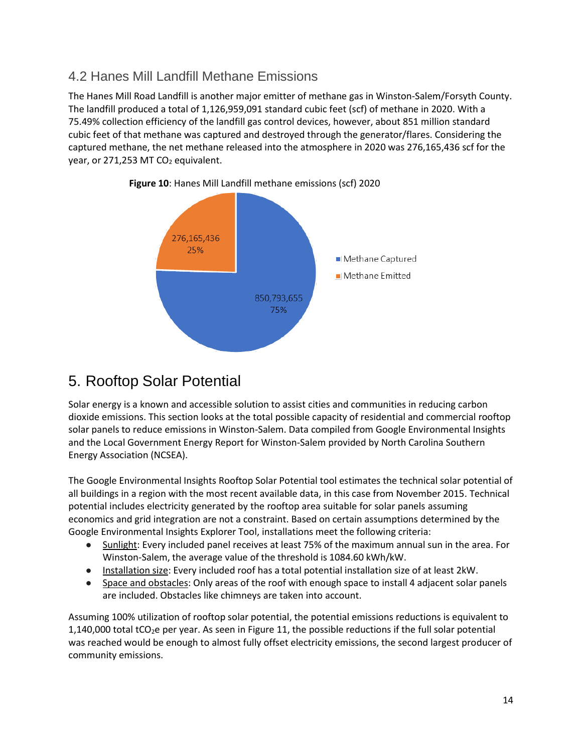## <span id="page-14-0"></span>4.2 Hanes Mill Landfill Methane Emissions

The Hanes Mill Road Landfill is another major emitter of methane gas in Winston-Salem/Forsyth County. The landfill produced a total of 1,126,959,091 standard cubic feet (scf) of methane in 2020. With a 75.49% collection efficiency of the landfill gas control devices, however, about 851 million standard cubic feet of that methane was captured and destroyed through the generator/flares. Considering the captured methane, the net methane released into the atmosphere in 2020 was 276,165,436 scf for the year, or 271,253 MT  $CO<sub>2</sub>$  equivalent.



**Figure 10**: Hanes Mill Landfill methane emissions (scf) 2020

# <span id="page-14-1"></span>5. Rooftop Solar Potential

Solar energy is a known and accessible solution to assist cities and communities in reducing carbon dioxide emissions. This section looks at the total possible capacity of residential and commercial rooftop solar panels to reduce emissions in Winston-Salem. Data compiled from Google Environmental Insights and the Local Government Energy Report for Winston-Salem provided by North Carolina Southern Energy Association (NCSEA).

The Google Environmental Insights Rooftop Solar Potential tool estimates the technical solar potential of all buildings in a region with the most recent available data, in this case from November 2015. Technical potential includes electricity generated by the rooftop area suitable for solar panels assuming economics and grid integration are not a constraint. Based on certain assumptions determined by the Google Environmental Insights Explorer Tool, installations meet the following criteria:

- Sunlight: Every included panel receives at least 75% of the maximum annual sun in the area. For Winston-Salem, the average value of the threshold is 1084.60 kWh/kW.
- Installation size: Every included roof has a total potential installation size of at least 2kW.
- Space and obstacles: Only areas of the roof with enough space to install 4 adjacent solar panels are included. Obstacles like chimneys are taken into account.

Assuming 100% utilization of rooftop solar potential, the potential emissions reductions is equivalent to 1,140,000 total tCO<sub>2</sub>e per year. As seen in Figure 11, the possible reductions if the full solar potential was reached would be enough to almost fully offset electricity emissions, the second largest producer of community emissions.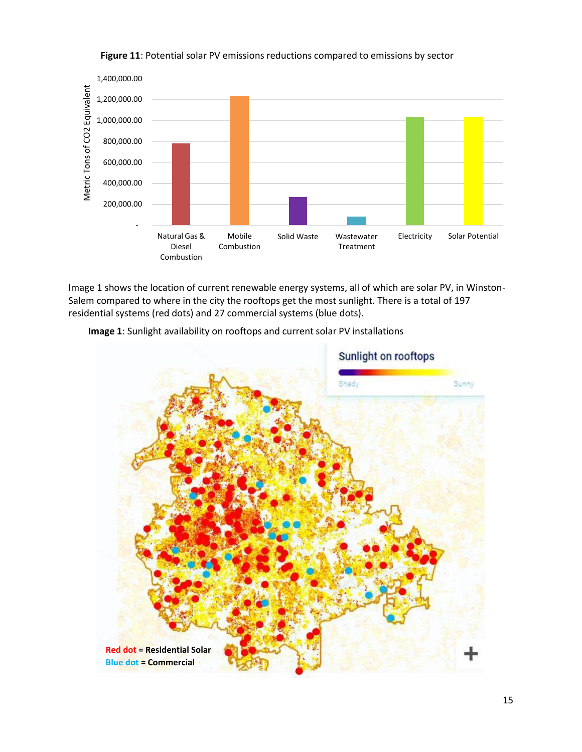

#### **Figure 11**: Potential solar PV emissions reductions compared to emissions by sector

Image 1 shows the location of current renewable energy systems, all of which are solar PV, in Winston-Salem compared to where in the city the rooftops get the most sunlight. There is a total of 197 residential systems (red dots) and 27 commercial systems (blue dots).



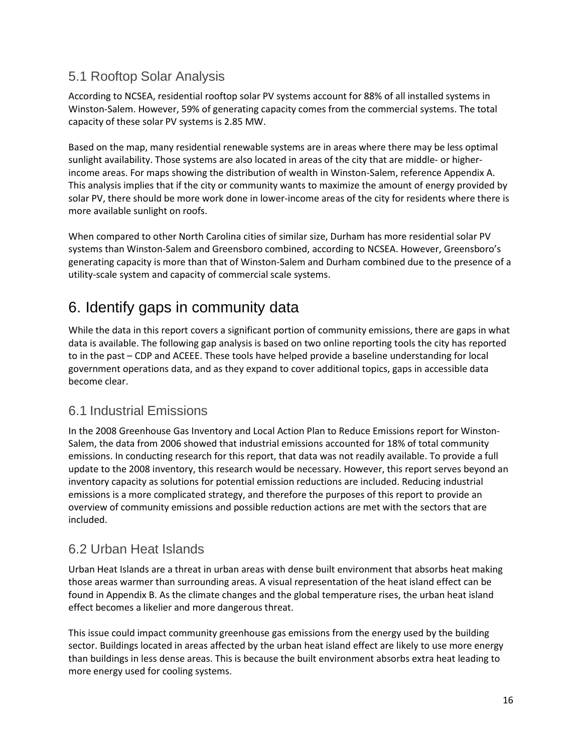### <span id="page-16-0"></span>5.1 Rooftop Solar Analysis

According to NCSEA, residential rooftop solar PV systems account for 88% of all installed systems in Winston-Salem. However, 59% of generating capacity comes from the commercial systems. The total capacity of these solar PV systems is 2.85 MW.

Based on the map, many residential renewable systems are in areas where there may be less optimal sunlight availability. Those systems are also located in areas of the city that are middle- or higherincome areas. For maps showing the distribution of wealth in Winston-Salem, reference Appendix A. This analysis implies that if the city or community wants to maximize the amount of energy provided by solar PV, there should be more work done in lower-income areas of the city for residents where there is more available sunlight on roofs.

When compared to other North Carolina cities of similar size, Durham has more residential solar PV systems than Winston-Salem and Greensboro combined, according to NCSEA. However, Greensboro's generating capacity is more than that of Winston-Salem and Durham combined due to the presence of a utility-scale system and capacity of commercial scale systems.

## <span id="page-16-1"></span>6. Identify gaps in community data

While the data in this report covers a significant portion of community emissions, there are gaps in what data is available. The following gap analysis is based on two online reporting tools the city has reported to in the past – CDP and ACEEE. These tools have helped provide a baseline understanding for local government operations data, and as they expand to cover additional topics, gaps in accessible data become clear.

### <span id="page-16-2"></span>6.1 Industrial Emissions

In the 2008 Greenhouse Gas Inventory and Local Action Plan to Reduce Emissions report for Winston-Salem, the data from 2006 showed that industrial emissions accounted for 18% of total community emissions. In conducting research for this report, that data was not readily available. To provide a full update to the 2008 inventory, this research would be necessary. However, this report serves beyond an inventory capacity as solutions for potential emission reductions are included. Reducing industrial emissions is a more complicated strategy, and therefore the purposes of this report to provide an overview of community emissions and possible reduction actions are met with the sectors that are included.

### <span id="page-16-3"></span>6.2 Urban Heat Islands

Urban Heat Islands are a threat in urban areas with dense built environment that absorbs heat making those areas warmer than surrounding areas. A visual representation of the heat island effect can be found in Appendix B. As the climate changes and the global temperature rises, the urban heat island effect becomes a likelier and more dangerous threat.

This issue could impact community greenhouse gas emissions from the energy used by the building sector. Buildings located in areas affected by the urban heat island effect are likely to use more energy than buildings in less dense areas. This is because the built environment absorbs extra heat leading to more energy used for cooling systems.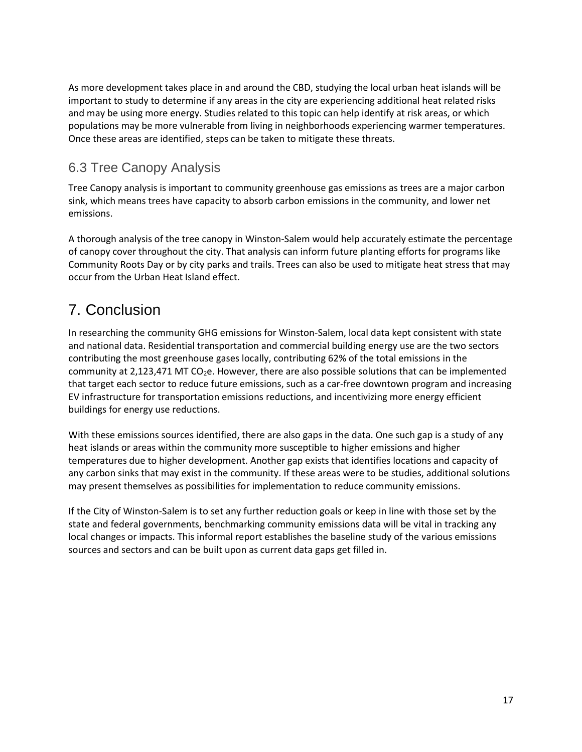As more development takes place in and around the CBD, studying the local urban heat islands will be important to study to determine if any areas in the city are experiencing additional heat related risks and may be using more energy. Studies related to this topic can help identify at risk areas, or which populations may be more vulnerable from living in neighborhoods experiencing warmer temperatures. Once these areas are identified, steps can be taken to mitigate these threats.

## <span id="page-17-0"></span>6.3 Tree Canopy Analysis

Tree Canopy analysis is important to community greenhouse gas emissions as trees are a major carbon sink, which means trees have capacity to absorb carbon emissions in the community, and lower net emissions.

A thorough analysis of the tree canopy in Winston-Salem would help accurately estimate the percentage of canopy cover throughout the city. That analysis can inform future planting efforts for programs like Community Roots Day or by city parks and trails. Trees can also be used to mitigate heat stress that may occur from the Urban Heat Island effect.

# <span id="page-17-1"></span>7. Conclusion

In researching the community GHG emissions for Winston-Salem, local data kept consistent with state and national data. Residential transportation and commercial building energy use are the two sectors contributing the most greenhouse gases locally, contributing 62% of the total emissions in the community at 2,123,471 MT CO<sub>2</sub>e. However, there are also possible solutions that can be implemented that target each sector to reduce future emissions, such as a car-free downtown program and increasing EV infrastructure for transportation emissions reductions, and incentivizing more energy efficient buildings for energy use reductions.

With these emissions sources identified, there are also gaps in the data. One such gap is a study of any heat islands or areas within the community more susceptible to higher emissions and higher temperatures due to higher development. Another gap exists that identifies locations and capacity of any carbon sinks that may exist in the community. If these areas were to be studies, additional solutions may present themselves as possibilities for implementation to reduce community emissions.

If the City of Winston-Salem is to set any further reduction goals or keep in line with those set by the state and federal governments, benchmarking community emissions data will be vital in tracking any local changes or impacts. This informal report establishes the baseline study of the various emissions sources and sectors and can be built upon as current data gaps get filled in.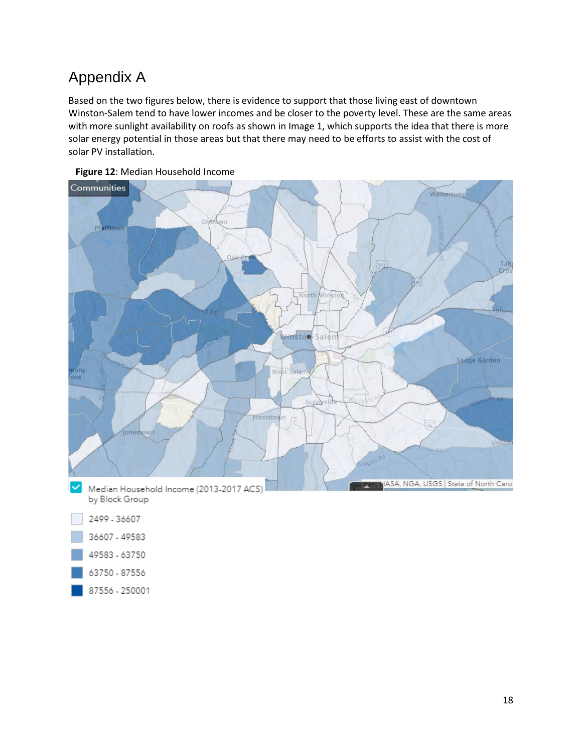# <span id="page-18-0"></span>Appendix A

Based on the two figures below, there is evidence to support that those living east of downtown Winston-Salem tend to have lower incomes and be closer to the poverty level. These are the same areas with more sunlight availability on roofs as shown in Image 1, which supports the idea that there is more solar energy potential in those areas but that there may need to be efforts to assist with the cost of solar PV installation.





87556 - 250001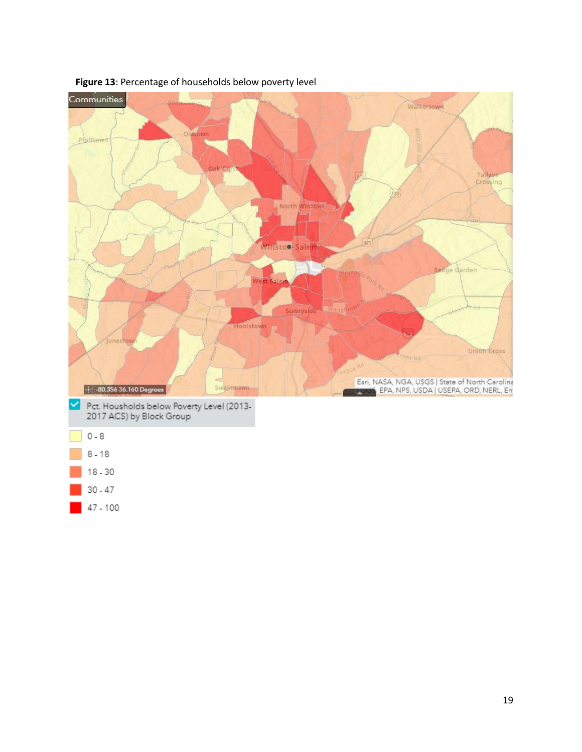



47 - 100